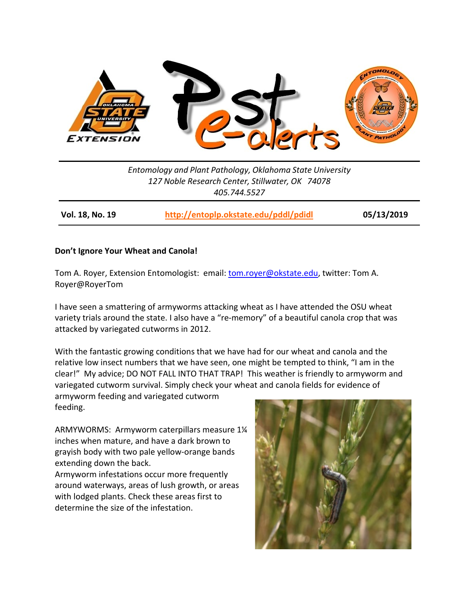

*Entomology and Plant Pathology, Oklahoma State University 127 Noble Research Center, Stillwater, OK 74078 405.744.5527*

**Vol. 18, No. 19 <http://entoplp.okstate.edu/pddl/pdidl> 05/13/2019**

## **Don't Ignore Your Wheat and Canola!**

Tom A. Royer, Extension Entomologist: email: [tom.royer@okstate.edu,](mailto:tom.royer@okstate.edu) twitter: Tom A. Royer@RoyerTom

I have seen a smattering of armyworms attacking wheat as I have attended the OSU wheat variety trials around the state. I also have a "re-memory" of a beautiful canola crop that was attacked by variegated cutworms in 2012.

With the fantastic growing conditions that we have had for our wheat and canola and the relative low insect numbers that we have seen, one might be tempted to think, "I am in the clear!" My advice; DO NOT FALL INTO THAT TRAP! This weather is friendly to armyworm and variegated cutworm survival. Simply check your wheat and canola fields for evidence of

armyworm feeding and variegated cutworm feeding.

ARMYWORMS: Armyworm caterpillars measure 1¼ inches when mature, and have a dark brown to with lodged plants. Check these areas first to



grayish body with two pale yellow-orange bands extending down the back. Armyworm infestations occur more frequently around waterways, areas of lush growth, or areas

determine the size of the infestation.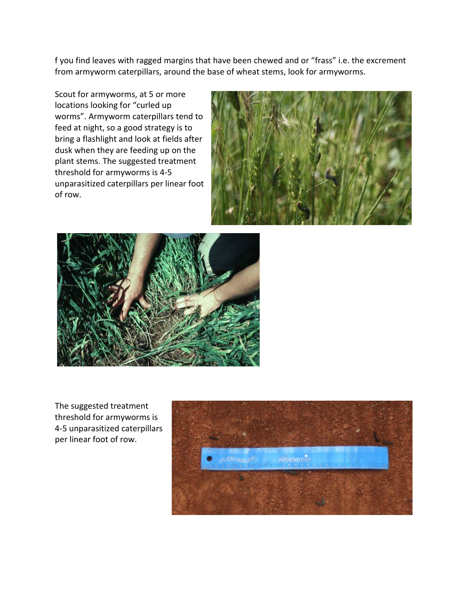f you find leaves with ragged margins that have been chewed and or "frass" i.e. the excrement from armyworm caterpillars, around the base of wheat stems, look for armyworms.

Scout for armyworms, at 5 or more locations looking for "curled up worms". Armyworm caterpillars tend to feed at night, so a good strategy is to bring a flashlight and look at fields after dusk when they are feeding up on the plant stems. The suggested treatment threshold for armyworms is 4-5 unparasitized caterpillars per linear foot of row.





The suggested treatment threshold for armyworms is 4-5 unparasitized caterpillars per linear foot of row.

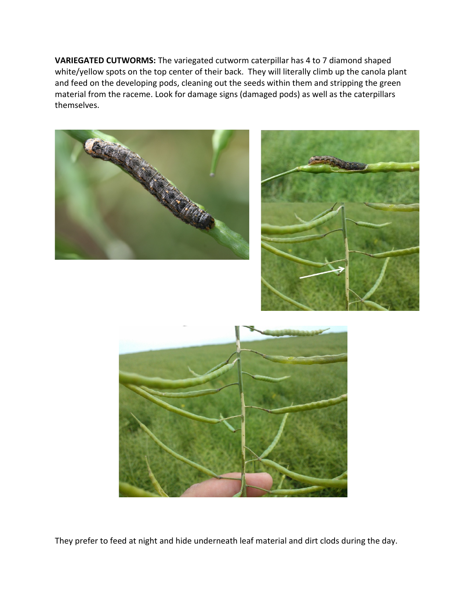**VARIEGATED CUTWORMS:** The variegated cutworm caterpillar has 4 to 7 diamond shaped white/yellow spots on the top center of their back. They will literally climb up the canola plant and feed on the developing pods, cleaning out the seeds within them and stripping the green material from the raceme. Look for damage signs (damaged pods) as well as the caterpillars themselves.







They prefer to feed at night and hide underneath leaf material and dirt clods during the day.